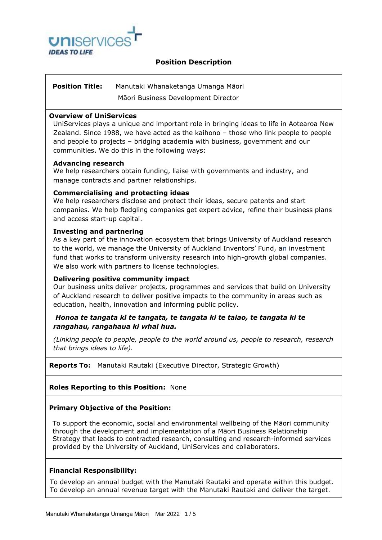

# **Position Description**

# **Position Title:** Manutaki Whanaketanga Umanga Māori

Māori Business Development Director

### **Overview of UniServices**

UniServices plays a unique and important role in bringing ideas to life in Aotearoa New Zealand. Since 1988, we have acted as the kaihono – those who link people to people and people to projects – bridging academia with business, government and our communities. We do this in the following ways:

# **Advancing research**

We help researchers obtain funding, liaise with governments and industry, and manage contracts and partner relationships.

# **Commercialising and protecting ideas**

We help researchers disclose and protect their ideas, secure patents and start companies. We help fledgling companies get expert advice, refine their business plans and access start-up capital.

# **Investing and partnering**

As a key part of the innovation ecosystem that brings University of Auckland research to the world, we manage the [University of Auckland Inventors' Fund](https://www.uniservices.co.nz/ip-and-innovation/university-auckland-inventors-fund), an investment fund that works to transform university research into high-growth global companies. We also work with partners to license technologies.

#### **Delivering positive community impact**

Our business units deliver projects, programmes and services that build on University of Auckland research to deliver positive impacts to the community in areas such as education, health, innovation and informing public policy.

# *Honoa te tangata ki te tangata, te tangata ki te taiao, te tangata ki te rangahau, rangahaua ki whai hua.*

*(Linking people to people, people to the world around us, people to research, research that brings ideas to life).*

**Reports To:** Manutaki Rautaki (Executive Director, Strategic Growth)

# **Roles Reporting to this Position:** None

#### **Primary Objective of the Position:**

To support the economic, social and environmental wellbeing of the Māori community through the development and implementation of a Māori Business Relationship Strategy that leads to contracted research, consulting and research-informed services provided by the University of Auckland, UniServices and collaborators.

#### **Financial Responsibility:**

To develop an annual budget with the Manutaki Rautaki and operate within this budget. To develop an annual revenue target with the Manutaki Rautaki and deliver the target.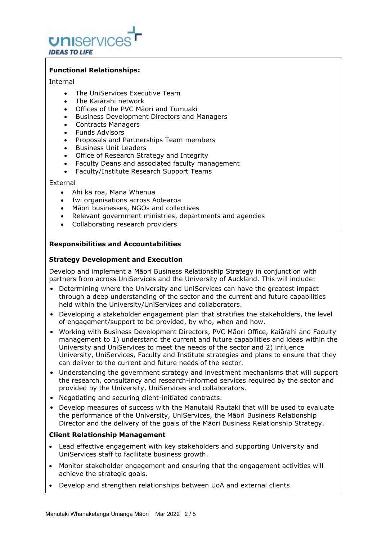

# **Functional Relationships:**

#### Internal

- The UniServices Executive Team
- The Kaiārahi network
- Offices of the PVC Māori and Tumuaki
- Business Development Directors and Managers
- Contracts Managers
- Funds Advisors
- Proposals and Partnerships Team members
- Business Unit Leaders
- Office of Research Strategy and Integrity
- Faculty Deans and associated faculty management
- Faculty/Institute Research Support Teams

#### External

- Ahi kā roa, Mana Whenua
- Iwi organisations across Aotearoa
- Māori businesses, NGOs and collectives
- Relevant government ministries, departments and agencies
- Collaborating research providers

# **Responsibilities and Accountabilities**

# **Strategy Development and Execution**

Develop and implement a Māori Business Relationship Strategy in conjunction with partners from across UniServices and the University of Auckland. This will include:

- Determining where the University and UniServices can have the greatest impact through a deep understanding of the sector and the current and future capabilities held within the University/UniServices and collaborators.
- Developing a stakeholder engagement plan that stratifies the stakeholders, the level of engagement/support to be provided, by who, when and how.
- Working with Business Development Directors, PVC Māori Office, Kaiārahi and Faculty management to 1) understand the current and future capabilities and ideas within the University and UniServices to meet the needs of the sector and 2) influence University, UniServices, Faculty and Institute strategies and plans to ensure that they can deliver to the current and future needs of the sector.
- Understanding the government strategy and investment mechanisms that will support the research, consultancy and research-informed services required by the sector and provided by the University, UniServices and collaborators.
- Negotiating and securing client-initiated contracts.
- Develop measures of success with the Manutaki Rautaki that will be used to evaluate the performance of the University, UniServices, the Māori Business Relationship Director and the delivery of the goals of the Māori Business Relationship Strategy.

# **Client Relationship Management**

- Lead effective engagement with key stakeholders and supporting University and UniServices staff to facilitate business growth.
- Monitor stakeholder engagement and ensuring that the engagement activities will achieve the strategic goals.
- Develop and strengthen relationships between UoA and external clients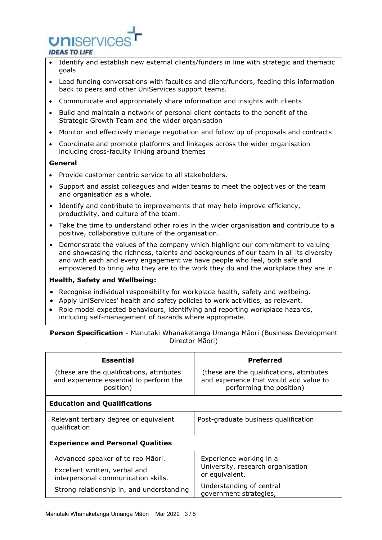

- Identify and establish new external clients/funders in line with strategic and thematic goals
- Lead funding conversations with faculties and client/funders, feeding this information back to peers and other UniServices support teams.
- Communicate and appropriately share information and insights with clients
- Build and maintain a network of personal client contacts to the benefit of the Strategic Growth Team and the wider organisation
- Monitor and effectively manage negotiation and follow up of proposals and contracts
- Coordinate and promote platforms and linkages across the wider organisation including cross-faculty linking around themes

# **General**

- Provide customer centric service to all stakeholders.
- Support and assist colleagues and wider teams to meet the objectives of the team and organisation as a whole.
- Identify and contribute to improvements that may help improve efficiency, productivity, and culture of the team.
- Take the time to understand other roles in the wider organisation and contribute to a positive, collaborative culture of the organisation.
- Demonstrate the values of the company which highlight our commitment to valuing and showcasing the richness, talents and backgrounds of our team in all its diversity and with each and every engagement we have people who feel, both safe and empowered to bring who they are to the work they do and the workplace they are in.

# **Health, Safety and Wellbeing:**

- Recognise individual responsibility for workplace health, safety and wellbeing.
- Apply UniServices' health and safety policies to work activities, as relevant.
- Role model expected behaviours, identifying and reporting workplace hazards, including self-management of hazards where appropriate.

**Person Specification -** Manutaki Whanaketanga Umanga Māori (Business Development Director Māori)

| <b>Essential</b>                                                                                  | <b>Preferred</b>                                                                                                |  |
|---------------------------------------------------------------------------------------------------|-----------------------------------------------------------------------------------------------------------------|--|
| (these are the qualifications, attributes<br>and experience essential to perform the<br>position) | (these are the qualifications, attributes<br>and experience that would add value to<br>performing the position) |  |
| <b>Education and Qualifications</b>                                                               |                                                                                                                 |  |
| Relevant tertiary degree or equivalent<br>qualification                                           | Post-graduate business qualification                                                                            |  |
| <b>Experience and Personal Qualities</b>                                                          |                                                                                                                 |  |
| Advanced speaker of te reo Māori.                                                                 | Experience working in a<br>University, research organisation<br>or equivalent.                                  |  |
| Excellent written, verbal and<br>interpersonal communication skills.                              |                                                                                                                 |  |
| Strong relationship in, and understanding                                                         | Understanding of central<br>government strategies,                                                              |  |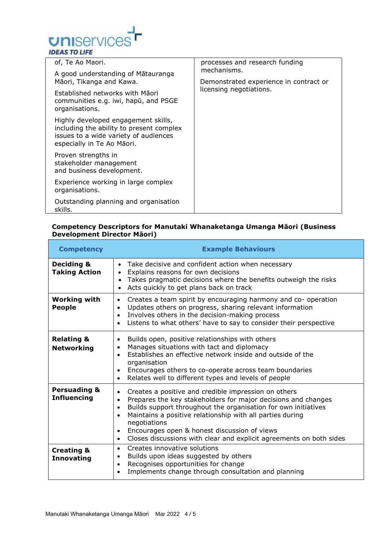

| of, Te Ao Maori.                                                                                                                                       | processes and research funding                        |
|--------------------------------------------------------------------------------------------------------------------------------------------------------|-------------------------------------------------------|
| A good understanding of Mātauranga<br>Māori, Tikanga and Kawa.                                                                                         | mechanisms.<br>Demonstrated experience in contract or |
| Established networks with Māori<br>communities e.g. iwi, hapu, and PSGE<br>organisations.                                                              | licensing negotiations.                               |
| Highly developed engagement skills,<br>including the ability to present complex<br>issues to a wide variety of audiences<br>especially in Te Ao Māori. |                                                       |
| Proven strengths in<br>stakeholder management<br>and business development.                                                                             |                                                       |
| Experience working in large complex<br>organisations.                                                                                                  |                                                       |
| Outstanding planning and organisation<br>skills.                                                                                                       |                                                       |

#### **Competency Descriptors for Manutaki Whanaketanga Umanga Māori (Business Development Director Māori)**

| <b>Competency</b>                             | <b>Example Behaviours</b>                                                                                                                                                                                                                                                                                                                                                                                                       |
|-----------------------------------------------|---------------------------------------------------------------------------------------------------------------------------------------------------------------------------------------------------------------------------------------------------------------------------------------------------------------------------------------------------------------------------------------------------------------------------------|
| <b>Deciding &amp;</b><br><b>Taking Action</b> | Take decisive and confident action when necessary<br>$\bullet$<br>Explains reasons for own decisions<br>$\bullet$<br>Takes pragmatic decisions where the benefits outweigh the risks<br>Acts quickly to get plans back on track                                                                                                                                                                                                 |
| <b>Working with</b><br><b>People</b>          | Creates a team spirit by encouraging harmony and co- operation<br>$\bullet$<br>Updates others on progress, sharing relevant information<br>٠<br>Involves others in the decision-making process<br>$\bullet$<br>Listens to what others' have to say to consider their perspective                                                                                                                                                |
| <b>Relating &amp;</b><br><b>Networking</b>    | Builds open, positive relationships with others<br>$\bullet$<br>Manages situations with tact and diplomacy<br>٠<br>Establishes an effective network inside and outside of the<br>$\bullet$<br>organisation<br>Encourages others to co-operate across team boundaries<br>$\bullet$<br>Relates well to different types and levels of people<br>$\bullet$                                                                          |
| <b>Persuading &amp;</b><br><b>Influencing</b> | Creates a positive and credible impression on others<br>٠<br>Prepares the key stakeholders for major decisions and changes<br>Builds support throughout the organisation for own initiatives<br>٠<br>Maintains a positive relationship with all parties during<br>negotiations<br>Encourages open & honest discussion of views<br>$\bullet$<br>Closes discussions with clear and explicit agreements on both sides<br>$\bullet$ |
| <b>Creating &amp;</b><br><b>Innovating</b>    | Creates innovative solutions<br>$\bullet$<br>Builds upon ideas suggested by others<br>$\bullet$<br>Recognises opportunities for change<br>$\bullet$<br>Implements change through consultation and planning<br>$\bullet$                                                                                                                                                                                                         |